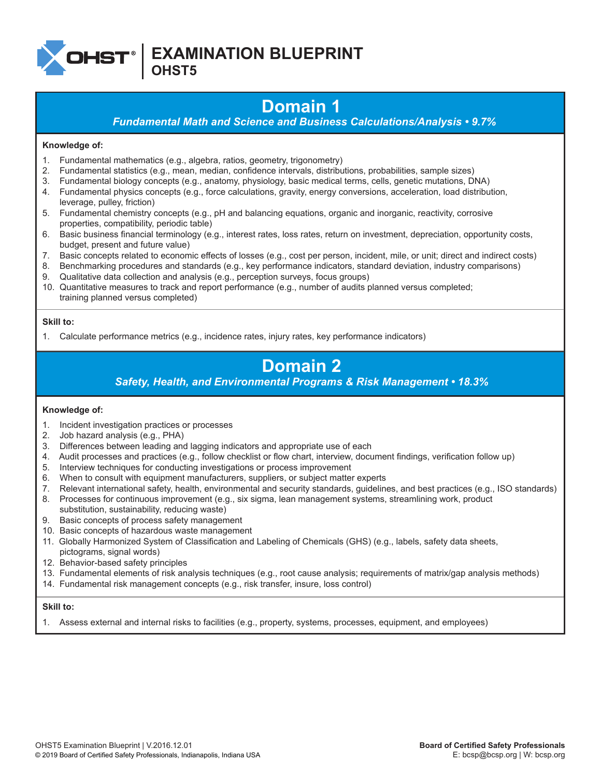

**EXAMINATION BLUEPRINT**

**OHST5**

# **Domain 1**

*Fundamental Math and Science and Business Calculations/Analysis • 9.7%*

### **Knowledge of:**

- 1. Fundamental mathematics (e.g., algebra, ratios, geometry, trigonometry)
- 2. Fundamental statistics (e.g., mean, median, confidence intervals, distributions, probabilities, sample sizes)
- 3. Fundamental biology concepts (e.g., anatomy, physiology, basic medical terms, cells, genetic mutations, DNA)
- 4. Fundamental physics concepts (e.g., force calculations, gravity, energy conversions, acceleration, load distribution, leverage, pulley, friction)
- 5. Fundamental chemistry concepts (e.g., pH and balancing equations, organic and inorganic, reactivity, corrosive properties, compatibility, periodic table)
- 6. Basic business financial terminology (e.g., interest rates, loss rates, return on investment, depreciation, opportunity costs, budget, present and future value)
- 7. Basic concepts related to economic effects of losses (e.g., cost per person, incident, mile, or unit; direct and indirect costs)
- 8. Benchmarking procedures and standards (e.g., key performance indicators, standard deviation, industry comparisons)
- 9. Qualitative data collection and analysis (e.g., perception surveys, focus groups)
- 10. Quantitative measures to track and report performance (e.g., number of audits planned versus completed; training planned versus completed)

### **Skill to:**

1. Calculate performance metrics (e.g., incidence rates, injury rates, key performance indicators)

# **Domain 2**

*Safety, Health, and Environmental Programs & Risk Management • 18.3%*

### **Knowledge of:**

- 1. Incident investigation practices or processes
- 2. Job hazard analysis (e.g., PHA)
- 3. Differences between leading and lagging indicators and appropriate use of each
- 4. Audit processes and practices (e.g., follow checklist or flow chart, interview, document findings, verification follow up)
- 5. Interview techniques for conducting investigations or process improvement
- 6. When to consult with equipment manufacturers, suppliers, or subject matter experts
- 7. Relevant international safety, health, environmental and security standards, guidelines, and best practices (e.g., ISO standards)
- 8. Processes for continuous improvement (e.g., six sigma, lean management systems, streamlining work, product
- substitution, sustainability, reducing waste)
- 9. Basic concepts of process safety management
- 10. Basic concepts of hazardous waste management
- 11. Globally Harmonized System of Classification and Labeling of Chemicals (GHS) (e.g., labels, safety data sheets, pictograms, signal words)
- 12. Behavior-based safety principles
- 13. Fundamental elements of risk analysis techniques (e.g., root cause analysis; requirements of matrix/gap analysis methods)
- 14. Fundamental risk management concepts (e.g., risk transfer, insure, loss control)

### **Skill to:**

1. Assess external and internal risks to facilities (e.g., property, systems, processes, equipment, and employees)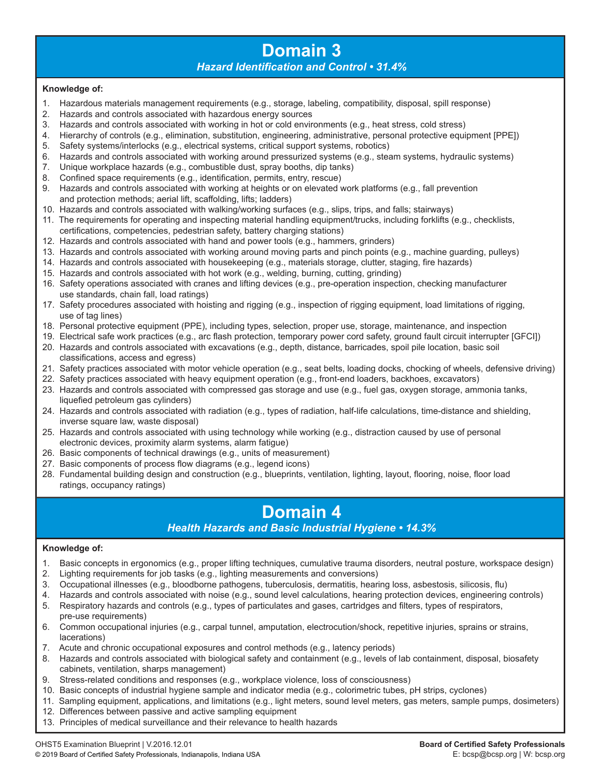### **Domain 3** *Hazard Identification and Control • 31.4%*

### **Knowledge of:**

- 1. Hazardous materials management requirements (e.g., storage, labeling, compatibility, disposal, spill response)
- 2. Hazards and controls associated with hazardous energy sources
- 3. Hazards and controls associated with working in hot or cold environments (e.g., heat stress, cold stress)
- 4. Hierarchy of controls (e.g., elimination, substitution, engineering, administrative, personal protective equipment [PPE])
- 5. Safety systems/interlocks (e.g., electrical systems, critical support systems, robotics)
- 6. Hazards and controls associated with working around pressurized systems (e.g., steam systems, hydraulic systems)
- 7. Unique workplace hazards (e.g., combustible dust, spray booths, dip tanks)
- 8. Confined space requirements (e.g., identification, permits, entry, rescue)
- 9. Hazards and controls associated with working at heights or on elevated work platforms (e.g., fall prevention and protection methods; aerial lift, scaffolding, lifts; ladders)
- 10. Hazards and controls associated with walking/working surfaces (e.g., slips, trips, and falls; stairways)
- 11. The requirements for operating and inspecting material handling equipment/trucks, including forklifts (e.g., checklists, certifications, competencies, pedestrian safety, battery charging stations)
- 12. Hazards and controls associated with hand and power tools (e.g., hammers, grinders)
- 13. Hazards and controls associated with working around moving parts and pinch points (e.g., machine guarding, pulleys)
- 14. Hazards and controls associated with housekeeping (e.g., materials storage, clutter, staging, fire hazards)
- 15. Hazards and controls associated with hot work (e.g., welding, burning, cutting, grinding)
- 16. Safety operations associated with cranes and lifting devices (e.g., pre-operation inspection, checking manufacturer use standards, chain fall, load ratings)
- 17. Safety procedures associated with hoisting and rigging (e.g., inspection of rigging equipment, load limitations of rigging, use of tag lines)
- 18. Personal protective equipment (PPE), including types, selection, proper use, storage, maintenance, and inspection
- 19. Electrical safe work practices (e.g., arc flash protection, temporary power cord safety, ground fault circuit interrupter [GFCI]) 20. Hazards and controls associated with excavations (e.g., depth, distance, barricades, spoil pile location, basic soil
- classifications, access and egress)
- 21. Safety practices associated with motor vehicle operation (e.g., seat belts, loading docks, chocking of wheels, defensive driving)
- 22. Safety practices associated with heavy equipment operation (e.g., front-end loaders, backhoes, excavators) 23. Hazards and controls associated with compressed gas storage and use (e.g., fuel gas, oxygen storage, ammonia tanks,
	- liquefied petroleum gas cylinders)
- 24. Hazards and controls associated with radiation (e.g., types of radiation, half-life calculations, time-distance and shielding, inverse square law, waste disposal)
- 25. Hazards and controls associated with using technology while working (e.g., distraction caused by use of personal electronic devices, proximity alarm systems, alarm fatigue)
- 26. Basic components of technical drawings (e.g., units of measurement)
- 27. Basic components of process flow diagrams (e.g., legend icons)
- 28. Fundamental building design and construction (e.g., blueprints, ventilation, lighting, layout, flooring, noise, floor load ratings, occupancy ratings)

## **Domain 4**

*Health Hazards and Basic Industrial Hygiene • 14.3%*

### **Knowledge of:**

- 1. Basic concepts in ergonomics (e.g., proper lifting techniques, cumulative trauma disorders, neutral posture, workspace design)
- 2. Lighting requirements for job tasks (e.g., lighting measurements and conversions)
- 3. Occupational illnesses (e.g., bloodborne pathogens, tuberculosis, dermatitis, hearing loss, asbestosis, silicosis, flu)
- 4. Hazards and controls associated with noise (e.g., sound level calculations, hearing protection devices, engineering controls) 5. Respiratory hazards and controls (e.g., types of particulates and gases, cartridges and filters, types of respirators,
- pre-use requirements)
- 6. Common occupational injuries (e.g., carpal tunnel, amputation, electrocution/shock, repetitive injuries, sprains or strains, lacerations)
- 7. Acute and chronic occupational exposures and control methods (e.g., latency periods)
- 8. Hazards and controls associated with biological safety and containment (e.g., levels of lab containment, disposal, biosafety cabinets, ventilation, sharps management)
- 9. Stress-related conditions and responses (e.g., workplace violence, loss of consciousness)
- 10. Basic concepts of industrial hygiene sample and indicator media (e.g., colorimetric tubes, pH strips, cyclones)
- 11. Sampling equipment, applications, and limitations (e.g., light meters, sound level meters, gas meters, sample pumps, dosimeters)
- 12. Differences between passive and active sampling equipment
- 13. Principles of medical surveillance and their relevance to health hazards